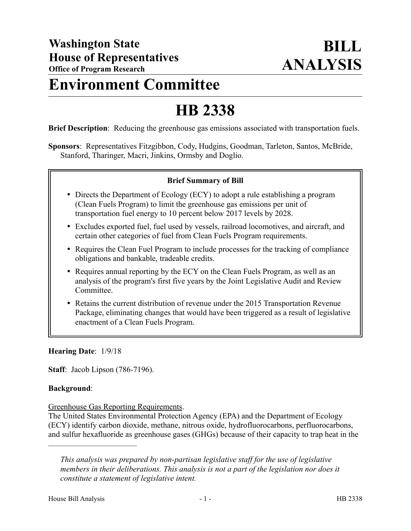# **Environment Committee**

# **HB 2338**

**Brief Description**: Reducing the greenhouse gas emissions associated with transportation fuels.

**Sponsors**: Representatives Fitzgibbon, Cody, Hudgins, Goodman, Tarleton, Santos, McBride, Stanford, Tharinger, Macri, Jinkins, Ormsby and Doglio.

#### **Brief Summary of Bill**

- Directs the Department of Ecology (ECY) to adopt a rule establishing a program (Clean Fuels Program) to limit the greenhouse gas emissions per unit of transportation fuel energy to 10 percent below 2017 levels by 2028.
- Excludes exported fuel, fuel used by vessels, railroad locomotives, and aircraft, and certain other categories of fuel from Clean Fuels Program requirements.
- Requires the Clean Fuel Program to include processes for the tracking of compliance obligations and bankable, tradeable credits.
- Requires annual reporting by the ECY on the Clean Fuels Program, as well as an analysis of the program's first five years by the Joint Legislative Audit and Review Committee.
- Retains the current distribution of revenue under the 2015 Transportation Revenue Package, eliminating changes that would have been triggered as a result of legislative enactment of a Clean Fuels Program.

**Hearing Date**: 1/9/18

**Staff**: Jacob Lipson (786-7196).

––––––––––––––––––––––

#### **Background**:

Greenhouse Gas Reporting Requirements.

The United States Environmental Protection Agency (EPA) and the Department of Ecology (ECY) identify carbon dioxide, methane, nitrous oxide, hydrofluorocarbons, perfluorocarbons, and sulfur hexafluoride as greenhouse gases (GHGs) because of their capacity to trap heat in the

*This analysis was prepared by non-partisan legislative staff for the use of legislative members in their deliberations. This analysis is not a part of the legislation nor does it constitute a statement of legislative intent.*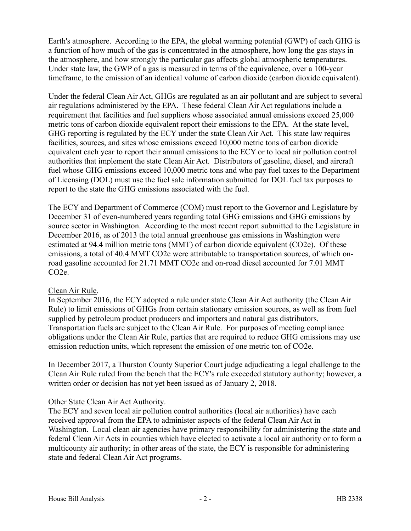Earth's atmosphere. According to the EPA, the global warming potential (GWP) of each GHG is a function of how much of the gas is concentrated in the atmosphere, how long the gas stays in the atmosphere, and how strongly the particular gas affects global atmospheric temperatures. Under state law, the GWP of a gas is measured in terms of the equivalence, over a 100-year timeframe, to the emission of an identical volume of carbon dioxide (carbon dioxide equivalent).

Under the federal Clean Air Act, GHGs are regulated as an air pollutant and are subject to several air regulations administered by the EPA. These federal Clean Air Act regulations include a requirement that facilities and fuel suppliers whose associated annual emissions exceed 25,000 metric tons of carbon dioxide equivalent report their emissions to the EPA. At the state level, GHG reporting is regulated by the ECY under the state Clean Air Act. This state law requires facilities, sources, and sites whose emissions exceed 10,000 metric tons of carbon dioxide equivalent each year to report their annual emissions to the ECY or to local air pollution control authorities that implement the state Clean Air Act. Distributors of gasoline, diesel, and aircraft fuel whose GHG emissions exceed 10,000 metric tons and who pay fuel taxes to the Department of Licensing (DOL) must use the fuel sale information submitted for DOL fuel tax purposes to report to the state the GHG emissions associated with the fuel.

The ECY and Department of Commerce (COM) must report to the Governor and Legislature by December 31 of even-numbered years regarding total GHG emissions and GHG emissions by source sector in Washington. According to the most recent report submitted to the Legislature in December 2016, as of 2013 the total annual greenhouse gas emissions in Washington were estimated at 94.4 million metric tons (MMT) of carbon dioxide equivalent (CO2e). Of these emissions, a total of 40.4 MMT CO2e were attributable to transportation sources, of which onroad gasoline accounted for 21.71 MMT CO2e and on-road diesel accounted for 7.01 MMT CO2e.

# Clean Air Rule.

In September 2016, the ECY adopted a rule under state Clean Air Act authority (the Clean Air Rule) to limit emissions of GHGs from certain stationary emission sources, as well as from fuel supplied by petroleum product producers and importers and natural gas distributors. Transportation fuels are subject to the Clean Air Rule. For purposes of meeting compliance obligations under the Clean Air Rule, parties that are required to reduce GHG emissions may use emission reduction units, which represent the emission of one metric ton of CO2e.

In December 2017, a Thurston County Superior Court judge adjudicating a legal challenge to the Clean Air Rule ruled from the bench that the ECY's rule exceeded statutory authority; however, a written order or decision has not yet been issued as of January 2, 2018.

# Other State Clean Air Act Authority.

The ECY and seven local air pollution control authorities (local air authorities) have each received approval from the EPA to administer aspects of the federal Clean Air Act in Washington. Local clean air agencies have primary responsibility for administering the state and federal Clean Air Acts in counties which have elected to activate a local air authority or to form a multicounty air authority; in other areas of the state, the ECY is responsible for administering state and federal Clean Air Act programs.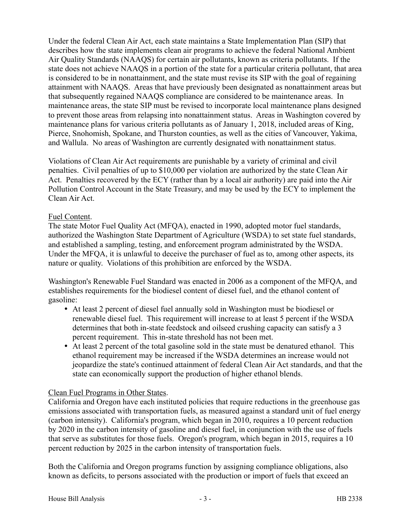Under the federal Clean Air Act, each state maintains a State Implementation Plan (SIP) that describes how the state implements clean air programs to achieve the federal National Ambient Air Quality Standards (NAAQS) for certain air pollutants, known as criteria pollutants. If the state does not achieve NAAQS in a portion of the state for a particular criteria pollutant, that area is considered to be in nonattainment, and the state must revise its SIP with the goal of regaining attainment with NAAQS. Areas that have previously been designated as nonattainment areas but that subsequently regained NAAQS compliance are considered to be maintenance areas. In maintenance areas, the state SIP must be revised to incorporate local maintenance plans designed to prevent those areas from relapsing into nonattainment status. Areas in Washington covered by maintenance plans for various criteria pollutants as of January 1, 2018, included areas of King, Pierce, Snohomish, Spokane, and Thurston counties, as well as the cities of Vancouver, Yakima, and Wallula. No areas of Washington are currently designated with nonattainment status.

Violations of Clean Air Act requirements are punishable by a variety of criminal and civil penalties. Civil penalties of up to \$10,000 per violation are authorized by the state Clean Air Act. Penalties recovered by the ECY (rather than by a local air authority) are paid into the Air Pollution Control Account in the State Treasury, and may be used by the ECY to implement the Clean Air Act.

#### Fuel Content.

The state Motor Fuel Quality Act (MFQA), enacted in 1990, adopted motor fuel standards, authorized the Washington State Department of Agriculture (WSDA) to set state fuel standards, and established a sampling, testing, and enforcement program administrated by the WSDA. Under the MFQA, it is unlawful to deceive the purchaser of fuel as to, among other aspects, its nature or quality. Violations of this prohibition are enforced by the WSDA.

Washington's Renewable Fuel Standard was enacted in 2006 as a component of the MFQA, and establishes requirements for the biodiesel content of diesel fuel, and the ethanol content of gasoline:

- At least 2 percent of diesel fuel annually sold in Washington must be biodiesel or renewable diesel fuel. This requirement will increase to at least 5 percent if the WSDA determines that both in-state feedstock and oilseed crushing capacity can satisfy a 3 percent requirement. This in-state threshold has not been met.
- At least 2 percent of the total gasoline sold in the state must be denatured ethanol. This ethanol requirement may be increased if the WSDA determines an increase would not jeopardize the state's continued attainment of federal Clean Air Act standards, and that the state can economically support the production of higher ethanol blends.

#### Clean Fuel Programs in Other States.

California and Oregon have each instituted policies that require reductions in the greenhouse gas emissions associated with transportation fuels, as measured against a standard unit of fuel energy (carbon intensity). California's program, which began in 2010, requires a 10 percent reduction by 2020 in the carbon intensity of gasoline and diesel fuel, in conjunction with the use of fuels that serve as substitutes for those fuels. Oregon's program, which began in 2015, requires a 10 percent reduction by 2025 in the carbon intensity of transportation fuels.

Both the California and Oregon programs function by assigning compliance obligations, also known as deficits, to persons associated with the production or import of fuels that exceed an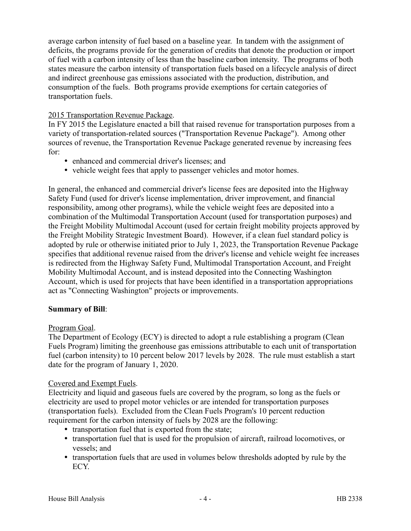average carbon intensity of fuel based on a baseline year. In tandem with the assignment of deficits, the programs provide for the generation of credits that denote the production or import of fuel with a carbon intensity of less than the baseline carbon intensity. The programs of both states measure the carbon intensity of transportation fuels based on a lifecycle analysis of direct and indirect greenhouse gas emissions associated with the production, distribution, and consumption of the fuels. Both programs provide exemptions for certain categories of transportation fuels.

#### 2015 Transportation Revenue Package.

In FY 2015 the Legislature enacted a bill that raised revenue for transportation purposes from a variety of transportation-related sources ("Transportation Revenue Package"). Among other sources of revenue, the Transportation Revenue Package generated revenue by increasing fees for:

- enhanced and commercial driver's licenses; and
- vehicle weight fees that apply to passenger vehicles and motor homes.

In general, the enhanced and commercial driver's license fees are deposited into the Highway Safety Fund (used for driver's license implementation, driver improvement, and financial responsibility, among other programs), while the vehicle weight fees are deposited into a combination of the Multimodal Transportation Account (used for transportation purposes) and the Freight Mobility Multimodal Account (used for certain freight mobility projects approved by the Freight Mobility Strategic Investment Board). However, if a clean fuel standard policy is adopted by rule or otherwise initiated prior to July 1, 2023, the Transportation Revenue Package specifies that additional revenue raised from the driver's license and vehicle weight fee increases is redirected from the Highway Safety Fund, Multimodal Transportation Account, and Freight Mobility Multimodal Account, and is instead deposited into the Connecting Washington Account, which is used for projects that have been identified in a transportation appropriations act as "Connecting Washington" projects or improvements.

#### **Summary of Bill**:

# Program Goal.

The Department of Ecology (ECY) is directed to adopt a rule establishing a program (Clean Fuels Program) limiting the greenhouse gas emissions attributable to each unit of transportation fuel (carbon intensity) to 10 percent below 2017 levels by 2028. The rule must establish a start date for the program of January 1, 2020.

#### Covered and Exempt Fuels.

Electricity and liquid and gaseous fuels are covered by the program, so long as the fuels or electricity are used to propel motor vehicles or are intended for transportation purposes (transportation fuels). Excluded from the Clean Fuels Program's 10 percent reduction requirement for the carbon intensity of fuels by 2028 are the following:

- transportation fuel that is exported from the state;
- transportation fuel that is used for the propulsion of aircraft, railroad locomotives, or vessels; and
- transportation fuels that are used in volumes below thresholds adopted by rule by the ECY.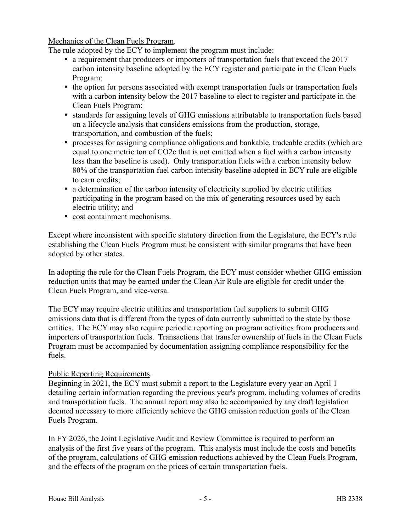Mechanics of the Clean Fuels Program.

The rule adopted by the ECY to implement the program must include:

- a requirement that producers or importers of transportation fuels that exceed the 2017 carbon intensity baseline adopted by the ECY register and participate in the Clean Fuels Program;
- the option for persons associated with exempt transportation fuels or transportation fuels with a carbon intensity below the 2017 baseline to elect to register and participate in the Clean Fuels Program;
- standards for assigning levels of GHG emissions attributable to transportation fuels based on a lifecycle analysis that considers emissions from the production, storage, transportation, and combustion of the fuels;
- processes for assigning compliance obligations and bankable, tradeable credits (which are equal to one metric ton of CO2e that is not emitted when a fuel with a carbon intensity less than the baseline is used). Only transportation fuels with a carbon intensity below 80% of the transportation fuel carbon intensity baseline adopted in ECY rule are eligible to earn credits;
- a determination of the carbon intensity of electricity supplied by electric utilities participating in the program based on the mix of generating resources used by each electric utility; and
- cost containment mechanisms.

Except where inconsistent with specific statutory direction from the Legislature, the ECY's rule establishing the Clean Fuels Program must be consistent with similar programs that have been adopted by other states.

In adopting the rule for the Clean Fuels Program, the ECY must consider whether GHG emission reduction units that may be earned under the Clean Air Rule are eligible for credit under the Clean Fuels Program, and vice-versa.

The ECY may require electric utilities and transportation fuel suppliers to submit GHG emissions data that is different from the types of data currently submitted to the state by those entities. The ECY may also require periodic reporting on program activities from producers and importers of transportation fuels. Transactions that transfer ownership of fuels in the Clean Fuels Program must be accompanied by documentation assigning compliance responsibility for the fuels.

#### Public Reporting Requirements.

Beginning in 2021, the ECY must submit a report to the Legislature every year on April 1 detailing certain information regarding the previous year's program, including volumes of credits and transportation fuels. The annual report may also be accompanied by any draft legislation deemed necessary to more efficiently achieve the GHG emission reduction goals of the Clean Fuels Program.

In FY 2026, the Joint Legislative Audit and Review Committee is required to perform an analysis of the first five years of the program. This analysis must include the costs and benefits of the program, calculations of GHG emission reductions achieved by the Clean Fuels Program, and the effects of the program on the prices of certain transportation fuels.